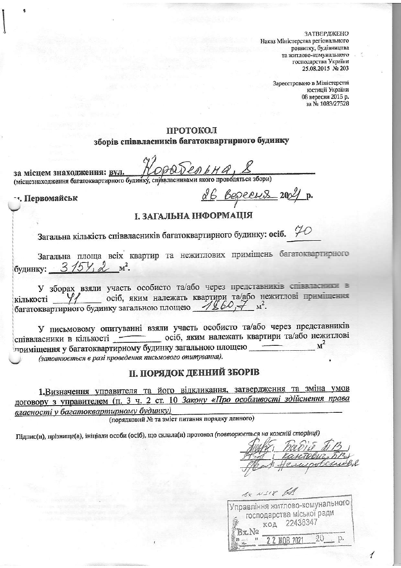ЗАТВЕРДЖЕНО Наказ Міністерства регіонального розвитку, будівництва та житлово-комунального господарства України 25.08.2015 № 203

> Зареєстровано в Міністерстві юстиції України 08 вересня 2015 р. за № 1083/27528

### ПРОТОКОЛ

# зборів співвласників багатоквартирного будинку

за місцем знаходження: вул. (місцезнаходження багатоквартирного будинку, справласниками якого проводяться збори)

- •. Первомайськ

<u>26 Bepecus</u> 2004 p.

### І. ЗАГАЛЬНА ІНФОРМАЦІЯ

Загальна кількість співвласників багатоквартирного будинку: осіб.  $\varphi$ 

Загальна площа всіх квартир та нежитлових приміщень багатоквартирного будинку: 3/5У, 2 м<sup>2</sup>.

У зборах взяли участь особисто та/або через представників співвласник в кількості У/ осіб, яким належать квартири та/або нежитлові приміщення багатоквартирного будинку загальною площею 1860,

У письмовому опитуванні взяли участь особисто та/або через представників співвласники в кількості осіб, яким належать квартири та/або нежитлові приміщення у багатоквартирному будинку загальною площею  $M^2$ (заповнюється в разі проведення письмового опитування).

II. ПОРЯДОК ДЕННИЙ ЗБОРІВ

1. Визначення управителя та його відкликання, затвердження та зміна умов договору з управителем (п. 3 ч. 2 ст. 10 Закону «Про особливості здійснення права власності у багатоквартирному будинку)

(порядковий № та зміст питання порядку денного)

Підпис(и), прізвище(а), ініціали особи (осіб), що склала(и) протокол (повторюється на кожній сторінці)

6x N318 1A Управління житлово-комунального господарства міської ради код 22436347 Bx.No 2 2 KOB 2021 20 . p.